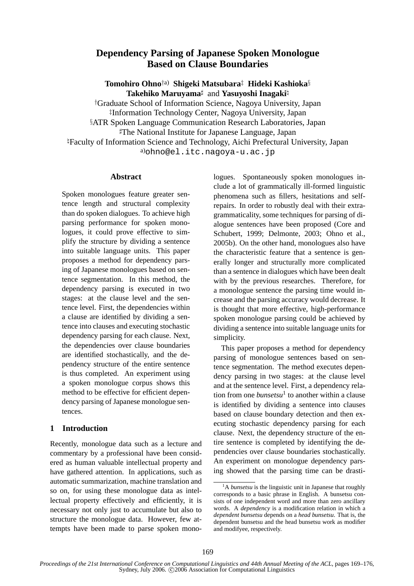# **Dependency Parsing of Japanese Spoken Monologue Based on Clause Boundaries**

**Tomohiro Ohno**†a) **Shigeki Matsubara**‡ **Hideki Kashioka**§ **Takehiko Maruyama**] and **Yasuyoshi Inagaki**\

†Graduate School of Information Science, Nagoya University, Japan ‡Information Technology Center, Nagoya University, Japan §ATR Spoken Language Communication Research Laboratories, Japan  $\textcolor{red}{\sharp}$ The National Institute for Japanese Language, Japan \Faculty of Information Science and Technology, Aichi Prefectural University, Japan a)ohno@el.itc.nagoya-u.ac.jp

### **Abstract**

Spoken monologues feature greater sentence length and structural complexity than do spoken dialogues. To achieve high parsing performance for spoken monologues, it could prove effective to simplify the structure by dividing a sentence into suitable language units. This paper proposes a method for dependency parsing of Japanese monologues based on sentence segmentation. In this method, the dependency parsing is executed in two stages: at the clause level and the sentence level. First, the dependencies within a clause are identified by dividing a sentence into clauses and executing stochastic dependency parsing for each clause. Next, the dependencies over clause boundaries are identified stochastically, and the dependency structure of the entire sentence is thus completed. An experiment using a spoken monologue corpus shows this method to be effective for efficient dependency parsing of Japanese monologue sentences.

### **1 Introduction**

Recently, monologue data such as a lecture and commentary by a professional have been considered as human valuable intellectual property and have gathered attention. In applications, such as automatic summarization, machine translation and so on, for using these monologue data as intellectual property effectively and efficiently, it is necessary not only just to accumulate but also to structure the monologue data. However, few attempts have been made to parse spoken monologues. Spontaneously spoken monologues include a lot of grammatically ill-formed linguistic phenomena such as fillers, hesitations and selfrepairs. In order to robustly deal with their extragrammaticality, some techniques for parsing of dialogue sentences have been proposed (Core and Schubert, 1999; Delmonte, 2003; Ohno et al., 2005b). On the other hand, monologues also have the characteristic feature that a sentence is generally longer and structurally more complicated than a sentence in dialogues which have been dealt with by the previous researches. Therefore, for a monologue sentence the parsing time would increase and the parsing accuracy would decrease. It is thought that more effective, high-performance spoken monologue parsing could be achieved by dividing a sentence into suitable language units for simplicity.

This paper proposes a method for dependency parsing of monologue sentences based on sentence segmentation. The method executes dependency parsing in two stages: at the clause level and at the sentence level. First, a dependency relation from one *bunsetsu*<sup>1</sup> to another within a clause is identified by dividing a sentence into clauses based on clause boundary detection and then executing stochastic dependency parsing for each clause. Next, the dependency structure of the entire sentence is completed by identifying the dependencies over clause boundaries stochastically. An experiment on monologue dependency parsing showed that the parsing time can be drasti-

<sup>&</sup>lt;sup>1</sup>A *bunsetsu* is the linguistic unit in Japanese that roughly corresponds to a basic phrase in English. A bunsetsu consists of one independent word and more than zero ancillary words. A *dependency* is a modification relation in which a *dependent bunsetsu* depends on a *head bunsetsu*. That is, the dependent bunsetsu and the head bunsetsu work as modifier and modifyee, respectively.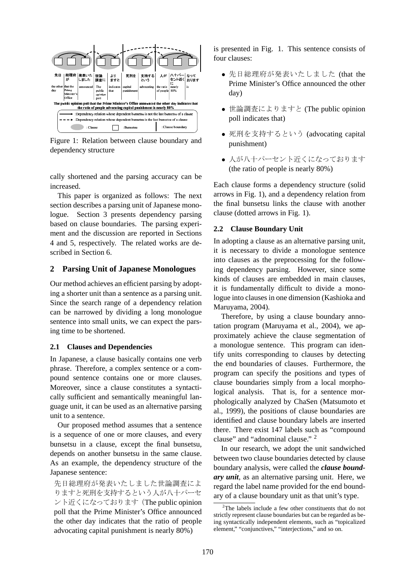

Figure 1: Relation between clause boundary and dependency structure

cally shortened and the parsing accuracy can be increased.

This paper is organized as follows: The next section describes a parsing unit of Japanese monologue. Section 3 presents dependency parsing based on clause boundaries. The parsing experiment and the discussion are reported in Sections 4 and 5, respectively. The related works are described in Section 6.

### **2 Parsing Unit of Japanese Monologues**

Our method achieves an efficient parsing by adopting a shorter unit than a sentence as a parsing unit. Since the search range of a dependency relation can be narrowed by dividing a long monologue sentence into small units, we can expect the parsing time to be shortened.

#### **2.1 Clauses and Dependencies**

In Japanese, a clause basically contains one verb phrase. Therefore, a complex sentence or a compound sentence contains one or more clauses. Moreover, since a clause constitutes a syntactically sufficient and semantically meaningful language unit, it can be used as an alternative parsing unit to a sentence.

Our proposed method assumes that a sentence is a sequence of one or more clauses, and every bunsetsu in a clause, except the final bunsetsu, depends on another bunsetsu in the same clause. As an example, the dependency structure of the Japanese sentence:

先日総理府が発表いたしました世論調査によ りますと死刑を支持するという人が八十パーセ ント近くになっております(The public opinion poll that the Prime Minister's Office announced the other day indicates that the ratio of people advocating capital punishment is nearly 80%)

is presented in Fig. 1. This sentence consists of four clauses:

- 先日総理府が発表いたしました (that the Prime Minister's Office announced the other day)
- 世論調査によりますと (The public opinion poll indicates that)
- 死刑を支持するという (advocating capital punishment)
- 人が八十パーセント近くになっております (the ratio of people is nearly 80%)

Each clause forms a dependency structure (solid arrows in Fig. 1), and a dependency relation from the final bunsetsu links the clause with another clause (dotted arrows in Fig. 1).

#### **2.2 Clause Boundary Unit**

In adopting a clause as an alternative parsing unit, it is necessary to divide a monologue sentence into clauses as the preprocessing for the following dependency parsing. However, since some kinds of clauses are embedded in main clauses, it is fundamentally difficult to divide a monologue into clauses in one dimension (Kashioka and Maruyama, 2004).

Therefore, by using a clause boundary annotation program (Maruyama et al., 2004), we approximately achieve the clause segmentation of a monologue sentence. This program can identify units corresponding to clauses by detecting the end boundaries of clauses. Furthermore, the program can specify the positions and types of clause boundaries simply from a local morphological analysis. That is, for a sentence morphologically analyzed by ChaSen (Matsumoto et al., 1999), the positions of clause boundaries are identified and clause boundary labels are inserted there. There exist 147 labels such as "compound clause" and "adnominal clause." <sup>2</sup>

In our research, we adopt the unit sandwiched between two clause boundaries detected by clause boundary analysis, were called the *clause boundary unit*, as an alternative parsing unit. Here, we regard the label name provided for the end boundary of a clause boundary unit as that unit's type.

 $2$ The labels include a few other constituents that do not strictly represent clause boundaries but can be regarded as being syntactically independent elements, such as "topicalized element," "conjunctives," "interjections," and so on.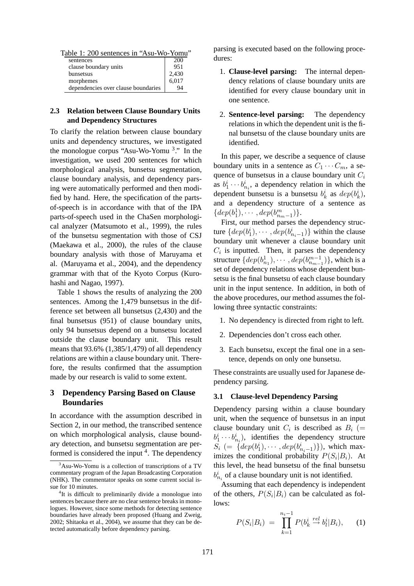| Table 1: 200 sentences in "Asu-Wo-Yomu" |     |
|-----------------------------------------|-----|
| sentences                               | 200 |

| sentences                           | ZUU   |
|-------------------------------------|-------|
| clause boundary units               | 951   |
| bunsetsus                           | 2,430 |
| morphemes                           | 6,017 |
| dependencies over clause boundaries | 94    |

### **2.3 Relation between Clause Boundary Units and Dependency Structures**

To clarify the relation between clause boundary units and dependency structures, we investigated the monologue corpus "Asu-Wo-Yomu <sup>3</sup> ." In the investigation, we used 200 sentences for which morphological analysis, bunsetsu segmentation, clause boundary analysis, and dependency parsing were automatically performed and then modified by hand. Here, the specification of the partsof-speech is in accordance with that of the IPA parts-of-speech used in the ChaSen morphological analyzer (Matsumoto et al., 1999), the rules of the bunsetsu segmentation with those of CSJ (Maekawa et al., 2000), the rules of the clause boundary analysis with those of Maruyama et al. (Maruyama et al., 2004), and the dependency grammar with that of the Kyoto Corpus (Kurohashi and Nagao, 1997).

Table 1 shows the results of analyzing the 200 sentences. Among the 1,479 bunsetsus in the difference set between all bunsetsus (2,430) and the final bunsetsus (951) of clause boundary units, only 94 bunsetsus depend on a bunsetsu located outside the clause boundary unit. This result means that 93.6% (1,385/1,479) of all dependency relations are within a clause boundary unit. Therefore, the results confirmed that the assumption made by our research is valid to some extent.

### **3 Dependency Parsing Based on Clause Boundaries**

In accordance with the assumption described in Section 2, in our method, the transcribed sentence on which morphological analysis, clause boundary detection, and bunsetsu segmentation are performed is considered the input <sup>4</sup>. The dependency

parsing is executed based on the following procedures:

- 1. **Clause-level parsing:** The internal dependency relations of clause boundary units are identified for every clause boundary unit in one sentence.
- 2. **Sentence-level parsing:** The dependency relations in which the dependent unit is the final bunsetsu of the clause boundary units are identified.

In this paper, we describe a sequence of clause boundary units in a sentence as  $C_1 \cdots C_m$ , a sequence of bunsetsus in a clause boundary unit  $C_i$ as  $b_1^i \cdots b_{n_i}^i$ , a dependency relation in which the dependent bunsetsu is a bunsetsu  $b_k^i$  as  $dep(b_k^i)$ , and a dependency structure of a sentence as  $\{dep(b_1^1), \cdots, dep(b_{n_m-1}^m)\}.$ 

First, our method parses the dependency structure  $\{dep(b_1^i), \cdots, dep(b_{n_i-1}^i) \}$  within the clause boundary unit whenever a clause boundary unit  $C_i$  is inputted. Then, it parses the dependency structure  $\{dep(b_{n_1}^1), \cdots, dep(b_{n_{m-1}}^{m-1})\}$ , which is a set of dependency relations whose dependent bunsetsu is the final bunsetsu of each clause boundary unit in the input sentence. In addition, in both of the above procedures, our method assumes the following three syntactic constraints:

- 1. No dependency is directed from right to left.
- 2. Dependencies don't cross each other.
- 3. Each bunsetsu, except the final one in a sentence, depends on only one bunsetsu.

These constraints are usually used for Japanese dependency parsing.

### **3.1 Clause-level Dependency Parsing**

Dependency parsing within a clause boundary unit, when the sequence of bunsetsus in an input clause boundary unit  $C_i$  is described as  $B_i$  (=  $b_1^i \cdots b_{n_i}^i$ , identifies the dependency structure  $S_i$  (= { $dep(b_1^i), \cdots, dep(b_{n_i-1}^i)$ }), which maximizes the conditional probability  $P(S_i|B_i)$ . At this level, the head bunsetsu of the final bunsetsu  $b_{n_i}^i$  of a clause boundary unit is not identified.

Assuming that each dependency is independent of the others,  $P(S_i|B_i)$  can be calculated as follows:

$$
P(S_i|B_i) = \prod_{k=1}^{n_i-1} P(b_k^i \stackrel{rel}{\rightarrow} b_l^i|B_i), \qquad (1)
$$

<sup>&</sup>lt;sup>3</sup>Asu-Wo-Yomu is a collection of transcriptions of a TV commentary program of the Japan Broadcasting Corporation (NHK). The commentator speaks on some current social issue for 10 minutes.

<sup>&</sup>lt;sup>4</sup>It is difficult to preliminarily divide a monologue into sentences because there are no clear sentence breaks in monologues. However, since some methods for detecting sentence boundaries have already been proposed (Huang and Zweig, 2002; Shitaoka et al., 2004), we assume that they can be detected automatically before dependency parsing.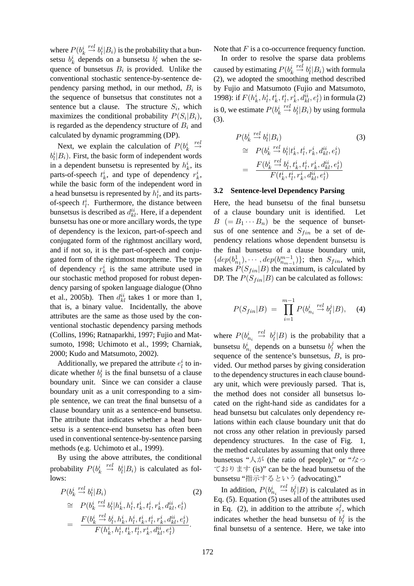where  $P(b_k^i \stackrel{rel}{\rightarrow} b_l^i|B_i)$  is the probability that a bunsetsu  $b_k^i$  depends on a bunsetsu  $b_l^i$  when the sequence of bunsetsus  $B_i$  is provided. Unlike the conventional stochastic sentence-by-sentence dependency parsing method, in our method,  $B_i$  is the sequence of bunsetsus that constitutes not a sentence but a clause. The structure  $S_i$ , which maximizes the conditional probability  $P(S_i|B_i)$ , is regarded as the dependency structure of  $B_i$  and calculated by dynamic programming (DP).

Next, we explain the calculation of  $P(b_k^i \overset{rel}{\rightarrow}$  $b_l^i|B_i|$ . First, the basic form of independent words in a dependent bunsetsu is represented by  $h_k^i$ , its parts-of-speech  $t_k^i$ , and type of dependency  $r_k^i$ , while the basic form of the independent word in a head bunsetsu is represented by  $h_l^i$ , and its partsof-speech  $t_i^i$ . Furthermore, the distance between bunsetsus is described as  $d_{kl}^{ii}$ . Here, if a dependent bunsetsu has one or more ancillary words, the type of dependency is the lexicon, part-of-speech and conjugated form of the rightmost ancillary word, and if not so, it is the part-of-speech and conjugated form of the rightmost morpheme. The type of dependency  $r_k^i$  is the same attribute used in our stochastic method proposed for robust dependency parsing of spoken language dialogue (Ohno et al., 2005b). Then  $d_{kl}^{ii}$  takes 1 or more than 1, that is, a binary value. Incidentally, the above attributes are the same as those used by the conventional stochastic dependency parsing methods (Collins, 1996; Ratnaparkhi, 1997; Fujio and Matsumoto, 1998; Uchimoto et al., 1999; Charniak, 2000; Kudo and Matsumoto, 2002).

Additionally, we prepared the attribute  $e_l^i$  to indicate whether  $b_l^i$  is the final bunsetsu of a clause boundary unit. Since we can consider a clause boundary unit as a unit corresponding to a simple sentence, we can treat the final bunsetsu of a clause boundary unit as a sentence-end bunsetsu. The attribute that indicates whether a head bunsetsu is a sentence-end bunsetsu has often been used in conventional sentence-by-sentence parsing methods (e.g. Uchimoto et al., 1999).

By using the above attributes, the conditional probability  $P(b_k^i \stackrel{rel}{\rightarrow} b_l^i|B_i)$  is calculated as follows:

$$
P(b_k^i \stackrel{rel}{\to} b_l^i | B_i)
$$
\n
$$
\cong P(b_k^i \stackrel{rel}{\to} b_l^i | h_k^i, h_l^i, t_k^i, t_l^i, r_k^i, d_{kl}^{ii}, e_l^i)
$$
\n
$$
= \frac{F(b_k^i \stackrel{rel}{\to} b_l^i, h_k^i, h_l^i, t_k^i, t_l^i, r_k^i, d_{kl}^{ii}, e_l^i)}{F(h_k^i, h_l^i, t_k^i, t_l^i, r_k^i, d_{kl}^{ii}, e_l^i)}.
$$
\n(2)

Note that  $F$  is a co-occurrence frequency function.

In order to resolve the sparse data problems caused by estimating  $P(b_k^i \overset{rel}{\rightarrow} b_l^i|B_i)$  with formula (2), we adopted the smoothing method described by Fujio and Matsumoto (Fujio and Matsumoto, 1998): if  $F(h_k^i, h_l^i, t_k^i, t_l^i, r_k^i, d_{kl}^{ii}, e_l^i)$  in formula (2) is 0, we estimate  $P(b_k^i \overset{rel}{\rightarrow} b_l^i | B_i)$  by using formula (3).

$$
P(b_k^i \stackrel{rel}{\to} b_l^i | B_i)
$$
\n
$$
\cong P(b_k^i \stackrel{rel}{\to} b_l^i | t_k^i, t_l^i, r_k^i, d_{kl}^{ii}, e_l^i)
$$
\n
$$
= \frac{F(b_k^i \stackrel{rel}{\to} b_l^i, t_k^i, t_l^i, r_k^i, d_{kl}^{ii}, e_l^i)}{F(t_k^i, t_l^i, r_k^i, d_{kl}^{ii}, e_l^i)}
$$
\n(3)

#### **3.2 Sentence-level Dependency Parsing**

Here, the head bunsetsu of the final bunsetsu of a clause boundary unit is identified. Let  $B (= B_1 \cdots B_n)$  be the sequence of bunsetsus of one sentence and  $S_{fin}$  be a set of dependency relations whose dependent bunsetsu is the final bunsetsu of a clause boundary unit,  $\{dep(b_{n_1}^1), \cdots, dep(b_{n_{m-1}}^{m-1})\};$  then  $S_{fin}$ , which makes  $P(S_{fin}|B)$  the maximum, is calculated by DP. The  $P(S_{fin}|B)$  can be calculated as follows:

$$
P(S_{fin}|B) = \prod_{i=1}^{m-1} P(b_{n_i}^i \stackrel{rel}{\to} b_l^j | B), \quad (4)
$$

where  $P(b_{n_i}^i \stackrel{rel}{\rightarrow} b_l^j)$  $\eta_l^j|B)$  is the probability that a bunsetsu  $b_{n_i}^i$  depends on a bunsetsu  $b_l^j$  when the sequence of the sentence's bunsetsus, B, is provided. Our method parses by giving consideration to the dependency structures in each clause boundary unit, which were previously parsed. That is, the method does not consider all bunsetsus located on the right-hand side as candidates for a head bunsetsu but calculates only dependency relations within each clause boundary unit that do not cross any other relation in previously parsed dependency structures. In the case of Fig. 1, the method calculates by assuming that only three bunsetsus "人が (the ratio of people)," or "なっ ております (is)" can be the head bunsetsu of the bunsetsu "指示するという (advocating)."

In addition,  $P(b_{n_i}^i \overset{rel}{\rightarrow} b_l^j)$  $\ell_l^j|B)$  is calculated as in Eq.  $(5)$ . Equation  $(5)$  uses all of the attributes used in Eq. (2), in addition to the attribute  $s_i^j$  $l<sub>i</sub>$ , which indicates whether the head bunsetsu of  $b_l^j$  $l_l^j$  is the final bunsetsu of a sentence. Here, we take into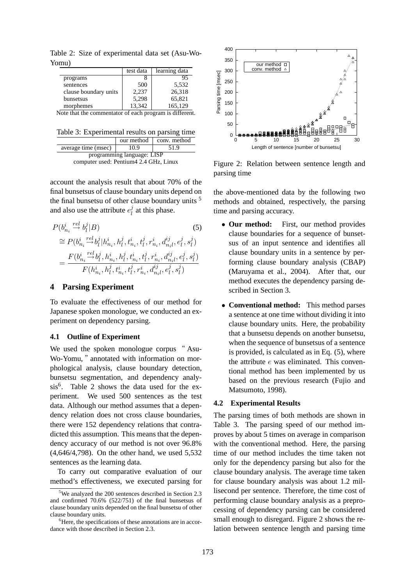Table 2: Size of experimental data set (Asu-Wo-Yomu)

|                                                         | test data | learning data |
|---------------------------------------------------------|-----------|---------------|
| programs                                                |           | 95            |
| sentences                                               | 500       | 5,532         |
| clause boundary units                                   | 2,237     | 26,318        |
| bunsetsus                                               | 5,298     | 65,821        |
| morphemes                                               | 13,342    | 165,129       |
| Note that the commentator of each program is different. |           |               |

| Table 3: Experimental results on parsing time |  |                         |
|-----------------------------------------------|--|-------------------------|
|                                               |  | our method conv. method |

| average time (msec)                                                   | 10.9 | 51.9 |
|-----------------------------------------------------------------------|------|------|
| programming language: LISP<br>computer used: Pentium 4 2.4 GHz, Linux |      |      |

account the analysis result that about 70% of the final bunsetsus of clause boundary units depend on the final bunsetsu of other clause boundary units <sup>5</sup> and also use the attribute  $e_l^j$  $\frac{J}{l}$  at this phase.

$$
P(b_{n_i}^i \stackrel{rel}{\rightarrow} b_l^j | B)
$$
\n
$$
\cong P(b_{n_i}^i \stackrel{rel}{\rightarrow} b_l^j | h_{n_i}^i, h_l^j, t_{n_i}^i, t_l^j, r_{n_i}^i, d_{n_i l}^{ij}, e_l^j, s_l^j)
$$
\n
$$
= \frac{F(b_{n_i}^i \stackrel{rel}{\rightarrow} b_l^j, h_{n_i}^i, h_l^j, t_{n_i}^i, t_l^j, r_{n_i}^i, d_{n_i l}^{ij}, e_l^j, s_l^j)}{F(h_{n_i}^i, h_l^j, t_{n_i}^i, t_l^j, r_{n_i}^i, d_{n_i l}^{ij}, e_l^j, s_l^j)}
$$
\n(5)

### **4 Parsing Experiment**

To evaluate the effectiveness of our method for Japanese spoken monologue, we conducted an experiment on dependency parsing.

#### **4.1 Outline of Experiment**

We used the spoken monologue corpus " Asu-Wo-Yomu, "annotated with information on morphological analysis, clause boundary detection, bunsetsu segmentation, and dependency analysis<sup>6</sup>. Table 2 shows the data used for the experiment. We used 500 sentences as the test data. Although our method assumes that a dependency relation does not cross clause boundaries, there were 152 dependency relations that contradicted this assumption. This means that the dependency accuracy of our method is not over 96.8% (4,646/4,798). On the other hand, we used 5,532 sentences as the learning data.

To carry out comparative evaluation of our method's effectiveness, we executed parsing for



Figure 2: Relation between sentence length and parsing time

the above-mentioned data by the following two methods and obtained, respectively, the parsing time and parsing accuracy.

- **Our method:** First, our method provides clause boundaries for a sequence of bunsetsus of an input sentence and identifies all clause boundary units in a sentence by performing clause boundary analysis (CBAP) (Maruyama et al., 2004). After that, our method executes the dependency parsing described in Section 3.
- **Conventional method:** This method parses a sentence at one time without dividing it into clause boundary units. Here, the probability that a bunsetsu depends on another bunsetsu, when the sequence of bunsetsus of a sentence is provided, is calculated as in Eq. (5), where the attribute  $e$  was eliminated. This conventional method has been implemented by us based on the previous research (Fujio and Matsumoto, 1998).

#### **4.2 Experimental Results**

The parsing times of both methods are shown in Table 3. The parsing speed of our method improves by about 5 times on average in comparison with the conventional method. Here, the parsing time of our method includes the time taken not only for the dependency parsing but also for the clause boundary analysis. The average time taken for clause boundary analysis was about 1.2 millisecond per sentence. Therefore, the time cost of performing clause boundary analysis as a preprocessing of dependency parsing can be considered small enough to disregard. Figure 2 shows the relation between sentence length and parsing time

<sup>&</sup>lt;sup>5</sup>We analyzed the 200 sentences described in Section 2.3 and confirmed 70.6% (522/751) of the final bunsetsus of clause boundary units depended on the final bunsetsu of other clause boundary units.

 ${}^{6}$ Here, the specifications of these annotations are in accordance with those described in Section 2.3.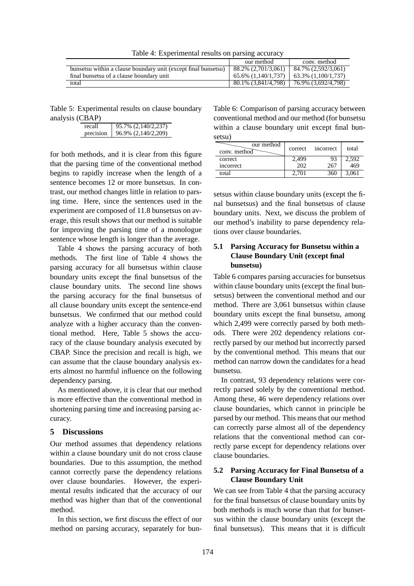Table 4: Experimental results on parsing accuracy

|                                                                | our method          | conv. method           |
|----------------------------------------------------------------|---------------------|------------------------|
| bunsetsu within a clause boundary unit (except final bunsetsu) | 88.2% (2.701/3.061) | 84.7% (2.592/3.061)    |
| final bunsetsu of a clause boundary unit                       | 65.6% (1.140/1.737) | $63.3\%$ (1.100/1.737) |
| total                                                          | 80.1% (3.841/4.798) | 76.9% (3,692/4,798)    |

Table 5: Experimental results on clause boundary analysis (CBAP)

| recall    | 95.7% (2,140/2,237) |
|-----------|---------------------|
| precision | 96.9% (2,140/2,209) |

for both methods, and it is clear from this figure that the parsing time of the conventional method begins to rapidly increase when the length of a sentence becomes 12 or more bunsetsus. In contrast, our method changes little in relation to parsing time. Here, since the sentences used in the experiment are composed of 11.8 bunsetsus on average, this result shows that our method is suitable for improving the parsing time of a monologue sentence whose length is longer than the average.

Table 4 shows the parsing accuracy of both methods. The first line of Table 4 shows the parsing accuracy for all bunsetsus within clause boundary units except the final bunsetsus of the clause boundary units. The second line shows the parsing accuracy for the final bunsetsus of all clause boundary units except the sentence-end bunsetsus. We confirmed that our method could analyze with a higher accuracy than the conventional method. Here, Table 5 shows the accuracy of the clause boundary analysis executed by CBAP. Since the precision and recall is high, we can assume that the clause boundary analysis exerts almost no harmful influence on the following dependency parsing.

As mentioned above, it is clear that our method is more effective than the conventional method in shortening parsing time and increasing parsing accuracy.

### **5 Discussions**

Our method assumes that dependency relations within a clause boundary unit do not cross clause boundaries. Due to this assumption, the method cannot correctly parse the dependency relations over clause boundaries. However, the experimental results indicated that the accuracy of our method was higher than that of the conventional method.

In this section, we first discuss the effect of our method on parsing accuracy, separately for bun-

Table 6: Comparison of parsing accuracy between conventional method and our method (for bunsetsu within a clause boundary unit except final bunsetsu)

| our method<br>conv. method | correct | <i>n</i> correct | total |
|----------------------------|---------|------------------|-------|
| correct                    | 2.499   |                  | 2.592 |
| incorrect                  | 202     | 267              | 469   |
| total                      | 2.701   | 360              | 3,061 |

setsus within clause boundary units (except the final bunsetsus) and the final bunsetsus of clause boundary units. Next, we discuss the problem of our method's inability to parse dependency relations over clause boundaries.

# **5.1 Parsing Accuracy for Bunsetsu within a Clause Boundary Unit (except final bunsetsu)**

Table 6 compares parsing accuracies for bunsetsus within clause boundary units (except the final bunsetsus) between the conventional method and our method. There are 3,061 bunsetsus within clause boundary units except the final bunsetsu, among which 2,499 were correctly parsed by both methods. There were 202 dependency relations correctly parsed by our method but incorrectly parsed by the conventional method. This means that our method can narrow down the candidates for a head bunsetsu.

In contrast, 93 dependency relations were correctly parsed solely by the conventional method. Among these, 46 were dependency relations over clause boundaries, which cannot in principle be parsed by our method. This means that our method can correctly parse almost all of the dependency relations that the conventional method can correctly parse except for dependency relations over clause boundaries.

### **5.2 Parsing Accuracy for Final Bunsetsu of a Clause Boundary Unit**

We can see from Table 4 that the parsing accuracy for the final bunsetsus of clause boundary units by both methods is much worse than that for bunsetsus within the clause boundary units (except the final bunsetsus). This means that it is difficult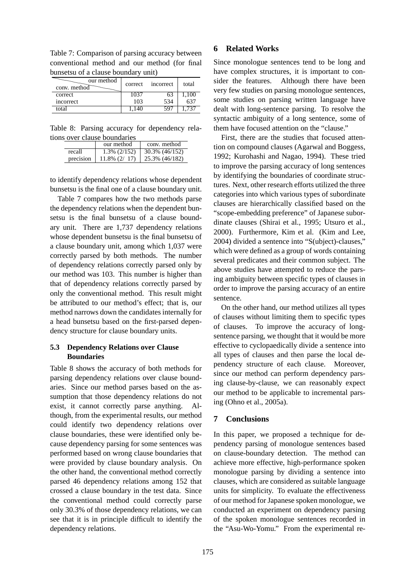| Table 7: Comparison of parsing accuracy between |  |
|-------------------------------------------------|--|
| conventional method and our method (for final   |  |
| bunsetsu of a clause boundary unit)             |  |
| $\sim$ $\sim$<br>الممطعم سيبم                   |  |

| our method<br>conv. method | correct | <i>n</i> correct | total |
|----------------------------|---------|------------------|-------|
| correct                    | 1037    |                  | 1,100 |
| incorrect                  | 103     | 534              | 63'   |
| total                      |         | 507              | 737   |

Table 8: Parsing accuracy for dependency relations over clause boundaries

|           | our method          | conv. method   |
|-----------|---------------------|----------------|
| recall    | $1.3\%$ ( $2/152$ ) | 30.3% (46/152) |
| precision | $11.8\%$ (2/ 17)    | 25.3% (46/182) |

to identify dependency relations whose dependent bunsetsu is the final one of a clause boundary unit.

Table 7 compares how the two methods parse the dependency relations when the dependent bunsetsu is the final bunsetsu of a clause boundary unit. There are 1,737 dependency relations whose dependent bunsetsu is the final bunsetsu of a clause boundary unit, among which 1,037 were correctly parsed by both methods. The number of dependency relations correctly parsed only by our method was 103. This number is higher than that of dependency relations correctly parsed by only the conventional method. This result might be attributed to our method's effect; that is, our method narrows down the candidates internally for a head bunsetsu based on the first-parsed dependency structure for clause boundary units.

### **5.3 Dependency Relations over Clause Boundaries**

Table 8 shows the accuracy of both methods for parsing dependency relations over clause boundaries. Since our method parses based on the assumption that those dependency relations do not exist, it cannot correctly parse anything. Although, from the experimental results, our method could identify two dependency relations over clause boundaries, these were identified only because dependency parsing for some sentences was performed based on wrong clause boundaries that were provided by clause boundary analysis. On the other hand, the conventional method correctly parsed 46 dependency relations among 152 that crossed a clause boundary in the test data. Since the conventional method could correctly parse only 30.3% of those dependency relations, we can see that it is in principle difficult to identify the dependency relations.

### **6 Related Works**

Since monologue sentences tend to be long and have complex structures, it is important to consider the features. Although there have been very few studies on parsing monologue sentences, some studies on parsing written language have dealt with long-sentence parsing. To resolve the syntactic ambiguity of a long sentence, some of them have focused attention on the "clause."

First, there are the studies that focused attention on compound clauses (Agarwal and Boggess, 1992; Kurohashi and Nagao, 1994). These tried to improve the parsing accuracy of long sentences by identifying the boundaries of coordinate structures. Next, other research efforts utilized the three categories into which various types of subordinate clauses are hierarchically classified based on the "scope-embedding preference" of Japanese subordinate clauses (Shirai et al., 1995; Utsuro et al., 2000). Furthermore, Kim et al. (Kim and Lee, 2004) divided a sentence into "S(ubject)-clauses," which were defined as a group of words containing several predicates and their common subject. The above studies have attempted to reduce the parsing ambiguity between specific types of clauses in order to improve the parsing accuracy of an entire sentence.

On the other hand, our method utilizes all types of clauses without limiting them to specific types of clauses. To improve the accuracy of longsentence parsing, we thought that it would be more effective to cyclopaedically divide a sentence into all types of clauses and then parse the local dependency structure of each clause. Moreover, since our method can perform dependency parsing clause-by-clause, we can reasonably expect our method to be applicable to incremental parsing (Ohno et al., 2005a).

# **7 Conclusions**

In this paper, we proposed a technique for dependency parsing of monologue sentences based on clause-boundary detection. The method can achieve more effective, high-performance spoken monologue parsing by dividing a sentence into clauses, which are considered as suitable language units for simplicity. To evaluate the effectiveness of our method for Japanese spoken monologue, we conducted an experiment on dependency parsing of the spoken monologue sentences recorded in the "Asu-Wo-Yomu." From the experimental re